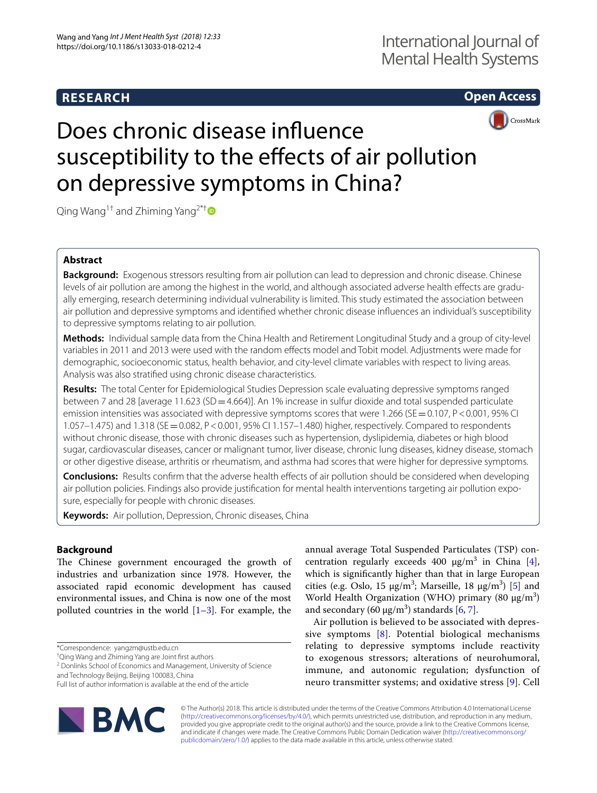# **RESEARCH**

**Open Access**

# **CrossMark**

Does chronic disease infuence susceptibility to the effects of air pollution on depressive symptoms in China?

Qing Wang<sup>1[†](http://orcid.org/0000-0001-8468-2077)</sup> and Zhiming Yang<sup>2\*†</sup>

## **Abstract**

**Background:** Exogenous stressors resulting from air pollution can lead to depression and chronic disease. Chinese levels of air pollution are among the highest in the world, and although associated adverse health efects are gradually emerging, research determining individual vulnerability is limited. This study estimated the association between air pollution and depressive symptoms and identifed whether chronic disease infuences an individual's susceptibility to depressive symptoms relating to air pollution.

**Methods:** Individual sample data from the China Health and Retirement Longitudinal Study and a group of city-level variables in 2011 and 2013 were used with the random efects model and Tobit model. Adjustments were made for demographic, socioeconomic status, health behavior, and city-level climate variables with respect to living areas. Analysis was also stratifed using chronic disease characteristics.

**Results:** The total Center for Epidemiological Studies Depression scale evaluating depressive symptoms ranged between 7 and 28 [average 11.623 (SD=4.664)]. An 1% increase in sulfur dioxide and total suspended particulate emission intensities was associated with depressive symptoms scores that were 1.266 (SE = 0.107, P < 0.001, 95% CI 1.057–1.475) and 1.318 (SE = 0.082, P < 0.001, 95% CI 1.157–1.480) higher, respectively. Compared to respondents without chronic disease, those with chronic diseases such as hypertension, dyslipidemia, diabetes or high blood sugar, cardiovascular diseases, cancer or malignant tumor, liver disease, chronic lung diseases, kidney disease, stomach or other digestive disease, arthritis or rheumatism, and asthma had scores that were higher for depressive symptoms.

**Conclusions:** Results confrm that the adverse health efects of air pollution should be considered when developing air pollution policies. Findings also provide justifcation for mental health interventions targeting air pollution exposure, especially for people with chronic diseases.

**Keywords:** Air pollution, Depression, Chronic diseases, China

## **Background**

The Chinese government encouraged the growth of industries and urbanization since 1978. However, the associated rapid economic development has caused environmental issues, and China is now one of the most polluted countries in the world  $[1-3]$  $[1-3]$ . For example, the

Full list of author information is available at the end of the article



annual average Total Suspended Particulates (TSP) concentration regularly exceeds 400  $\mu$ g/m<sup>3</sup> in China [\[4](#page-10-2)], which is signifcantly higher than that in large European cities (e.g. Oslo, 15  $\mu$ g/m<sup>3</sup>; Marseille, 18  $\mu$ g/m<sup>3</sup>) [[5\]](#page-10-3) and World Health Organization (WHO) primary (80  $\mu$ g/m<sup>3</sup>) and secondary ([6](#page-10-4)0  $\mu$ g/m<sup>3</sup>) standards [6, [7\]](#page-10-5).

Air pollution is believed to be associated with depressive symptoms [\[8](#page-10-6)]. Potential biological mechanisms relating to depressive symptoms include reactivity to exogenous stressors; alterations of neurohumoral, immune, and autonomic regulation; dysfunction of neuro transmitter systems; and oxidative stress [[9\]](#page-10-7). Cell

© The Author(s) 2018. This article is distributed under the terms of the Creative Commons Attribution 4.0 International License [\(http://creativecommons.org/licenses/by/4.0/\)](http://creativecommons.org/licenses/by/4.0/), which permits unrestricted use, distribution, and reproduction in any medium, provided you give appropriate credit to the original author(s) and the source, provide a link to the Creative Commons license, and indicate if changes were made. The Creative Commons Public Domain Dedication waiver ([http://creativecommons.org/](http://creativecommons.org/publicdomain/zero/1.0/) [publicdomain/zero/1.0/](http://creativecommons.org/publicdomain/zero/1.0/)) applies to the data made available in this article, unless otherwise stated.

<sup>\*</sup>Correspondence: yangzm@ustb.edu.cn

<sup>†</sup> Qing Wang and Zhiming Yang are Joint frst authors

<sup>&</sup>lt;sup>2</sup> Donlinks School of Economics and Management, University of Science and Technology Beijing, Beijing 100083, China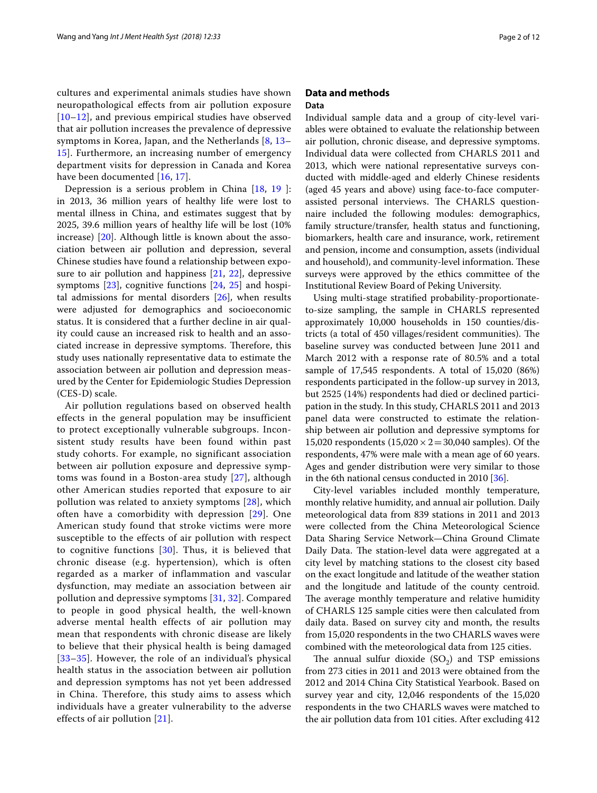cultures and experimental animals studies have shown neuropathological efects from air pollution exposure [[10](#page-10-8)[–12](#page-10-9)], and previous empirical studies have observed that air pollution increases the prevalence of depressive symptoms in Korea, Japan, and the Netherlands [\[8,](#page-10-6) [13–](#page-10-10) [15\]](#page-10-11). Furthermore, an increasing number of emergency department visits for depression in Canada and Korea have been documented [[16,](#page-10-12) [17\]](#page-10-13).

Depression is a serious problem in China [\[18](#page-10-14), [19](#page-10-15) ]: in 2013, 36 million years of healthy life were lost to mental illness in China, and estimates suggest that by 2025, 39.6 million years of healthy life will be lost (10% increase) [[20\]](#page-10-16). Although little is known about the association between air pollution and depression, several Chinese studies have found a relationship between exposure to air pollution and happiness [[21,](#page-10-17) [22](#page-10-18)], depressive symptoms [\[23](#page-10-19)], cognitive functions [[24,](#page-10-20) [25\]](#page-10-21) and hospital admissions for mental disorders [[26\]](#page-10-22), when results were adjusted for demographics and socioeconomic status. It is considered that a further decline in air quality could cause an increased risk to health and an associated increase in depressive symptoms. Therefore, this study uses nationally representative data to estimate the association between air pollution and depression measured by the Center for Epidemiologic Studies Depression (CES-D) scale.

Air pollution regulations based on observed health effects in the general population may be insufficient to protect exceptionally vulnerable subgroups. Inconsistent study results have been found within past study cohorts. For example, no significant association between air pollution exposure and depressive symptoms was found in a Boston-area study [[27\]](#page-10-23), although other American studies reported that exposure to air pollution was related to anxiety symptoms [[28](#page-10-24)], which often have a comorbidity with depression [[29](#page-10-25)]. One American study found that stroke victims were more susceptible to the effects of air pollution with respect to cognitive functions [[30](#page-10-26)]. Thus, it is believed that chronic disease (e.g. hypertension), which is often regarded as a marker of inflammation and vascular dysfunction, may mediate an association between air pollution and depressive symptoms [[31,](#page-10-27) [32\]](#page-10-28). Compared to people in good physical health, the well-known adverse mental health effects of air pollution may mean that respondents with chronic disease are likely to believe that their physical health is being damaged [[33](#page-10-29)[–35\]](#page-10-30). However, the role of an individual's physical health status in the association between air pollution and depression symptoms has not yet been addressed in China. Therefore, this study aims to assess which individuals have a greater vulnerability to the adverse effects of air pollution [[21](#page-10-17)].

## **Data and methods Data**

Individual sample data and a group of city-level variables were obtained to evaluate the relationship between air pollution, chronic disease, and depressive symptoms. Individual data were collected from CHARLS 2011 and 2013, which were national representative surveys conducted with middle-aged and elderly Chinese residents (aged 45 years and above) using face-to-face computerassisted personal interviews. The CHARLS questionnaire included the following modules: demographics, family structure/transfer, health status and functioning, biomarkers, health care and insurance, work, retirement and pension, income and consumption, assets (individual and household), and community-level information. These surveys were approved by the ethics committee of the Institutional Review Board of Peking University.

Using multi-stage stratifed probability-proportionateto-size sampling, the sample in CHARLS represented approximately 10,000 households in 150 counties/districts (a total of 450 villages/resident communities). The baseline survey was conducted between June 2011 and March 2012 with a response rate of 80.5% and a total sample of 17,545 respondents. A total of 15,020 (86%) respondents participated in the follow-up survey in 2013, but 2525 (14%) respondents had died or declined participation in the study. In this study, CHARLS 2011 and 2013 panel data were constructed to estimate the relationship between air pollution and depressive symptoms for 15,020 respondents  $(15,020 \times 2 = 30,040$  samples). Of the respondents, 47% were male with a mean age of 60 years. Ages and gender distribution were very similar to those in the 6th national census conducted in 2010 [\[36](#page-10-31)].

City-level variables included monthly temperature, monthly relative humidity, and annual air pollution. Daily meteorological data from 839 stations in 2011 and 2013 were collected from the China Meteorological Science Data Sharing Service Network—China Ground Climate Daily Data. The station-level data were aggregated at a city level by matching stations to the closest city based on the exact longitude and latitude of the weather station and the longitude and latitude of the county centroid. The average monthly temperature and relative humidity of CHARLS 125 sample cities were then calculated from daily data. Based on survey city and month, the results from 15,020 respondents in the two CHARLS waves were combined with the meteorological data from 125 cities.

The annual sulfur dioxide  $(SO<sub>2</sub>)$  and TSP emissions from 273 cities in 2011 and 2013 were obtained from the 2012 and 2014 China City Statistical Yearbook. Based on survey year and city, 12,046 respondents of the 15,020 respondents in the two CHARLS waves were matched to the air pollution data from 101 cities. After excluding 412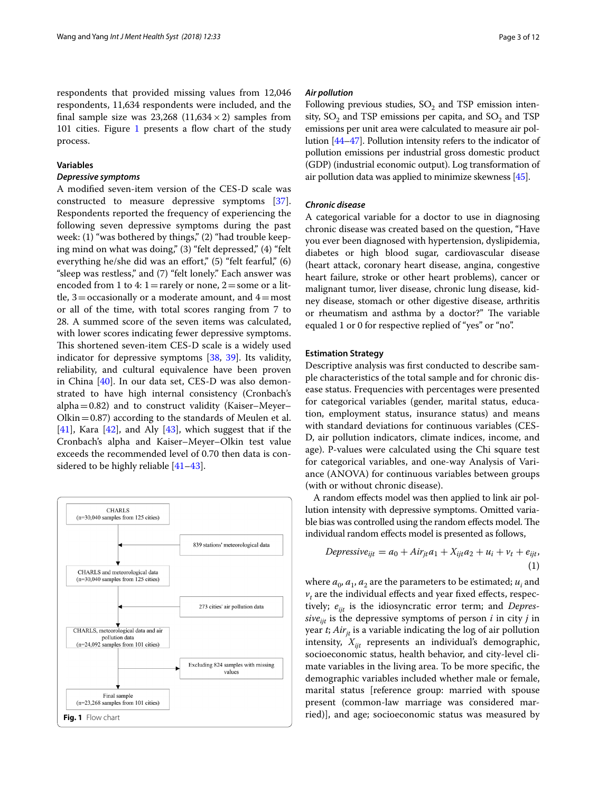respondents that provided missing values from 12,046 respondents, 11,634 respondents were included, and the final sample size was  $23,268$  (11,634  $\times$  2) samples from [1](#page-2-0)01 cities. Figure 1 presents a flow chart of the study process.

## **Variables**

#### *Depressive symptoms*

A modifed seven-item version of the CES-D scale was constructed to measure depressive symptoms [\[37](#page-10-32)]. Respondents reported the frequency of experiencing the following seven depressive symptoms during the past week: (1) "was bothered by things," (2) "had trouble keeping mind on what was doing," (3) "felt depressed," (4) "felt everything he/she did was an effort," (5) "felt fearful," (6) "sleep was restless," and (7) "felt lonely." Each answer was encoded from 1 to 4:  $1 =$ rarely or none,  $2 =$ some or a little,  $3=$  occasionally or a moderate amount, and  $4=$  most or all of the time, with total scores ranging from 7 to 28. A summed score of the seven items was calculated, with lower scores indicating fewer depressive symptoms. This shortened seven-item CES-D scale is a widely used indicator for depressive symptoms [\[38](#page-10-33), [39](#page-10-34)]. Its validity, reliability, and cultural equivalence have been proven in China [[40\]](#page-10-35). In our data set, CES-D was also demonstrated to have high internal consistency (Cronbach's alpha $=0.82$ ) and to construct validity (Kaiser–Meyer–  $Olkin = 0.87$  according to the standards of Meulen et al.  $[41]$  $[41]$ , Kara  $[42]$  $[42]$ , and Aly  $[43]$  $[43]$ , which suggest that if the Cronbach's alpha and Kaiser–Meyer–Olkin test value exceeds the recommended level of 0.70 then data is considered to be highly reliable [\[41](#page-10-36)[–43\]](#page-11-1).

<span id="page-2-0"></span>

#### *Air pollution*

Following previous studies,  $SO<sub>2</sub>$  and TSP emission intensity,  $SO_2$  and TSP emissions per capita, and  $SO_2$  and TSP emissions per unit area were calculated to measure air pollution [\[44](#page-11-2)[–47\]](#page-11-3). Pollution intensity refers to the indicator of pollution emissions per industrial gross domestic product (GDP) (industrial economic output). Log transformation of air pollution data was applied to minimize skewness [[45](#page-11-4)].

#### *Chronic disease*

A categorical variable for a doctor to use in diagnosing chronic disease was created based on the question, "Have you ever been diagnosed with hypertension, dyslipidemia, diabetes or high blood sugar, cardiovascular disease (heart attack, coronary heart disease, angina, congestive heart failure, stroke or other heart problems), cancer or malignant tumor, liver disease, chronic lung disease, kidney disease, stomach or other digestive disease, arthritis or rheumatism and asthma by a doctor?" The variable equaled 1 or 0 for respective replied of "yes" or "no".

#### **Estimation Strategy**

Descriptive analysis was frst conducted to describe sample characteristics of the total sample and for chronic disease status. Frequencies with percentages were presented for categorical variables (gender, marital status, education, employment status, insurance status) and means with standard deviations for continuous variables (CES-D, air pollution indicators, climate indices, income, and age). P-values were calculated using the Chi square test for categorical variables, and one-way Analysis of Variance (ANOVA) for continuous variables between groups (with or without chronic disease).

A random efects model was then applied to link air pollution intensity with depressive symptoms. Omitted variable bias was controlled using the random effects model. The individual random efects model is presented as follows,

$$
Depressive_{ijt} = a_0 + Air_{jt}a_1 + X_{ijt}a_2 + u_i + v_t + e_{ijt},
$$
\n(1)

where  $a_0$ ,  $a_1$ ,  $a_2$  are the parameters to be estimated;  $u_i$  and  $v_t$  are the individual effects and year fixed effects, respectively;  $e_{ijt}$  is the idiosyncratic error term; and *Depres* $sive_{ii}$  is the depressive symptoms of person *i* in city *j* in year *t*;  $Air_{it}$  is a variable indicating the log of air pollution intensity, *Xijt* represents an individual's demographic, socioeconomic status, health behavior, and city-level climate variables in the living area. To be more specifc, the demographic variables included whether male or female, marital status [reference group: married with spouse present (common-law marriage was considered married)], and age; socioeconomic status was measured by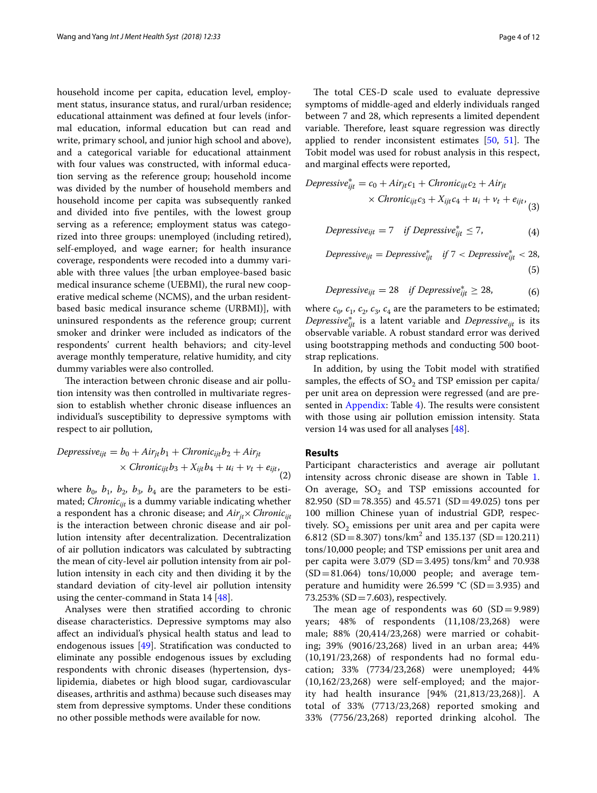household income per capita, education level, employment status, insurance status, and rural/urban residence; educational attainment was defned at four levels (informal education, informal education but can read and write, primary school, and junior high school and above), and a categorical variable for educational attainment with four values was constructed, with informal education serving as the reference group; household income was divided by the number of household members and household income per capita was subsequently ranked and divided into fve pentiles, with the lowest group serving as a reference; employment status was categorized into three groups: unemployed (including retired), self-employed, and wage earner; for health insurance coverage, respondents were recoded into a dummy variable with three values [the urban employee-based basic medical insurance scheme (UEBMI), the rural new cooperative medical scheme (NCMS), and the urban residentbased basic medical insurance scheme (URBMI)], with uninsured respondents as the reference group; current smoker and drinker were included as indicators of the respondents' current health behaviors; and city-level average monthly temperature, relative humidity, and city dummy variables were also controlled.

The interaction between chronic disease and air pollution intensity was then controlled in multivariate regression to establish whether chronic disease infuences an individual's susceptibility to depressive symptoms with respect to air pollution,

$$
Depressive_{ijt} = b_0 + Air_{jt}b_1 + Chronic_{ijt}b_2 + Air_{jt}
$$

$$
\times Chronic_{ijt}b_3 + X_{ijt}b_4 + u_i + v_t + e_{ijt},
$$

$$
(2)
$$

where  $b_0$ ,  $b_1$ ,  $b_2$ ,  $b_3$ ,  $b_4$  are the parameters to be estimated; *Chronic<sub>iit</sub>* is a dummy variable indicating whether a respondent has a chronic disease; and  $Air_{it} \times Chronic_{it}$ is the interaction between chronic disease and air pollution intensity after decentralization. Decentralization of air pollution indicators was calculated by subtracting the mean of city-level air pollution intensity from air pollution intensity in each city and then dividing it by the standard deviation of city-level air pollution intensity using the center-command in Stata 14 [\[48\]](#page-11-5).

Analyses were then stratifed according to chronic disease characteristics. Depressive symptoms may also afect an individual's physical health status and lead to endogenous issues [[49](#page-11-6)]. Stratifcation was conducted to eliminate any possible endogenous issues by excluding respondents with chronic diseases (hypertension, dyslipidemia, diabetes or high blood sugar, cardiovascular diseases, arthritis and asthma) because such diseases may stem from depressive symptoms. Under these conditions no other possible methods were available for now.

The total CES-D scale used to evaluate depressive symptoms of middle-aged and elderly individuals ranged between 7 and 28, which represents a limited dependent variable. Therefore, least square regression was directly applied to render inconsistent estimates  $[50, 51]$  $[50, 51]$  $[50, 51]$  $[50, 51]$ . The Tobit model was used for robust analysis in this respect, and marginal efects were reported,

$$
Depressive_{ijt}^* = c_0 + Air_{jt}c_1 + Chronic_{ijt}c_2 + Air_{jt}
$$
  
× Chronic<sub>ijt</sub>c\_3 + X<sub>ijt</sub>c\_4 + u<sub>i</sub> + v<sub>t</sub> + e<sub>ijt</sub>, (3)

$$
Depressive_{ijt} = 7 \quad \text{if Depressive}_{ijt}^* \le 7, \tag{4}
$$

(5) Depressive<sub>ijt</sub> = Depressive $_{ijt}^*$  if 7 < Depressive $_{ijt}^*$  < 28,

$$
Depressive_{ijt} = 28 \quad \text{if Depressive}_{ijt}^* \ge 28, \tag{6}
$$

where  $c_0$ ,  $c_1$ ,  $c_2$ ,  $c_3$ ,  $c_4$  are the parameters to be estimated; Depressive<sub>ijt</sub> is a latent variable and *Depressive<sub>ijt</sub>* is its observable variable. A robust standard error was derived using bootstrapping methods and conducting 500 bootstrap replications.

In addition, by using the Tobit model with stratifed samples, the effects of  $SO_2$  and TSP emission per capita/ per unit area on depression were regressed (and are pre-sented in [Appendix](#page-9-0): Table [4](#page-9-1)). The results were consistent with those using air pollution emission intensity. Stata version 14 was used for all analyses [\[48](#page-11-5)].

## **Results**

Participant characteristics and average air pollutant intensity across chronic disease are shown in Table [1](#page-4-0). On average,  $SO<sub>2</sub>$  and TSP emissions accounted for 82.950 (SD=78.355) and 45.571 (SD=49.025) tons per 100 million Chinese yuan of industrial GDP, respectively.  $SO<sub>2</sub>$  emissions per unit area and per capita were 6.812 (SD = 8.307) tons/km<sup>2</sup> and 135.137 (SD = 120.211) tons/10,000 people; and TSP emissions per unit area and per capita were  $3.079$  (SD=3.495) tons/km<sup>2</sup> and 70.938  $(SD=81.064)$  tons/10,000 people; and average temperature and humidity were 26.599 °C (SD=3.935) and 73.253% (SD=7.603), respectively.

The mean age of respondents was  $60$  (SD=9.989) years; 48% of respondents (11,108/23,268) were male; 88% (20,414/23,268) were married or cohabiting; 39% (9016/23,268) lived in an urban area; 44% (10,191/23,268) of respondents had no formal education; 33% (7734/23,268) were unemployed; 44% (10,162/23,268) were self-employed; and the majority had health insurance [94% (21,813/23,268)]. A total of 33% (7713/23,268) reported smoking and  $33\%$   $(7756/23,268)$  reported drinking alcohol. The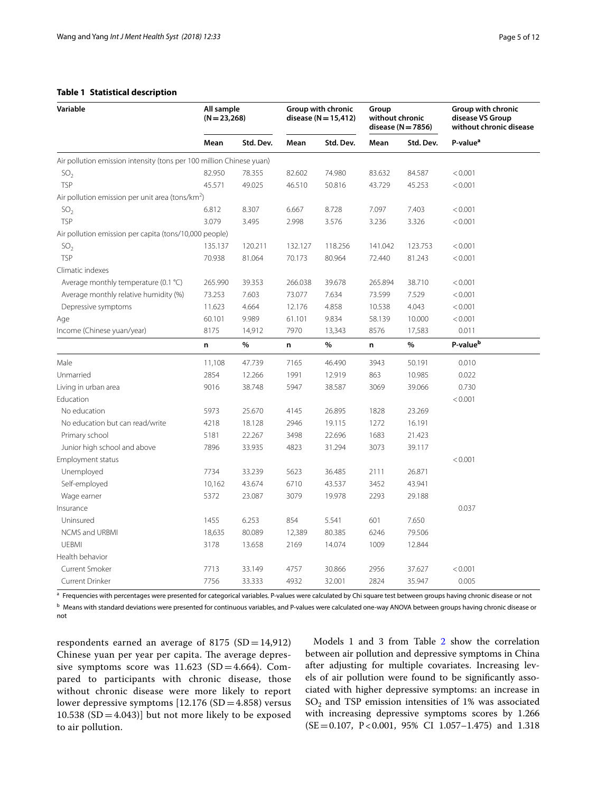## <span id="page-4-0"></span>**Table 1 Statistical description**

| Variable                                                             | All sample<br>$(N = 23,268)$ |           | Group with chronic<br>disease ( $N = 15,412$ ) |           | Group<br>without chronic<br>disease ( $N = 7856$ ) |           | Group with chronic<br>disease VS Group<br>without chronic disease |  |
|----------------------------------------------------------------------|------------------------------|-----------|------------------------------------------------|-----------|----------------------------------------------------|-----------|-------------------------------------------------------------------|--|
|                                                                      | Mean                         | Std. Dev. | Mean                                           | Std. Dev. | Mean                                               | Std. Dev. | P-value <sup>a</sup>                                              |  |
| Air pollution emission intensity (tons per 100 million Chinese yuan) |                              |           |                                                |           |                                                    |           |                                                                   |  |
| SO <sub>2</sub>                                                      | 82.950                       | 78.355    | 82.602                                         | 74.980    | 83.632                                             | 84.587    | < 0.001                                                           |  |
| <b>TSP</b>                                                           | 45.571                       | 49.025    | 46.510                                         | 50.816    | 43.729                                             | 45.253    | < 0.001                                                           |  |
| Air pollution emission per unit area (tons/km <sup>2</sup> )         |                              |           |                                                |           |                                                    |           |                                                                   |  |
| SO <sub>2</sub>                                                      | 6.812                        | 8.307     | 6.667                                          | 8.728     | 7.097                                              | 7.403     | < 0.001                                                           |  |
| <b>TSP</b>                                                           | 3.079                        | 3.495     | 2.998                                          | 3.576     | 3.236                                              | 3.326     | < 0.001                                                           |  |
| Air pollution emission per capita (tons/10,000 people)               |                              |           |                                                |           |                                                    |           |                                                                   |  |
| SO <sub>2</sub>                                                      | 135.137                      | 120.211   | 132.127                                        | 118.256   | 141.042                                            | 123.753   | < 0.001                                                           |  |
| <b>TSP</b>                                                           | 70.938                       | 81.064    | 70.173                                         | 80.964    | 72.440                                             | 81.243    | < 0.001                                                           |  |
| Climatic indexes                                                     |                              |           |                                                |           |                                                    |           |                                                                   |  |
| Average monthly temperature (0.1 °C)                                 | 265.990                      | 39.353    | 266.038                                        | 39.678    | 265.894                                            | 38.710    | < 0.001                                                           |  |
| Average monthly relative humidity (%)                                | 73.253                       | 7.603     | 73.077                                         | 7.634     | 73.599                                             | 7.529     | < 0.001                                                           |  |
| Depressive symptoms                                                  | 11.623                       | 4.664     | 12.176                                         | 4.858     | 10.538                                             | 4.043     | < 0.001                                                           |  |
| Age                                                                  | 60.101                       | 9.989     | 61.101                                         | 9.834     | 58.139                                             | 10.000    | < 0.001                                                           |  |
| Income (Chinese yuan/year)                                           | 8175                         | 14,912    | 7970                                           | 13,343    | 8576                                               | 17,583    | 0.011                                                             |  |
|                                                                      | n                            | %         | n                                              | $\%$      | n                                                  | %         | P-value <sup>b</sup>                                              |  |
| Male                                                                 | 11,108                       | 47.739    | 7165                                           | 46.490    | 3943                                               | 50.191    | 0.010                                                             |  |
| Unmarried                                                            | 2854                         | 12.266    | 1991                                           | 12.919    | 863                                                | 10.985    | 0.022                                                             |  |
| Living in urban area                                                 | 9016                         | 38.748    | 5947                                           | 38.587    | 3069                                               | 39.066    | 0.730                                                             |  |
| Education                                                            |                              |           |                                                |           |                                                    |           | < 0.001                                                           |  |
| No education                                                         | 5973                         | 25.670    | 4145                                           | 26.895    | 1828                                               | 23.269    |                                                                   |  |
| No education but can read/write                                      | 4218                         | 18.128    | 2946                                           | 19.115    | 1272                                               | 16.191    |                                                                   |  |
| Primary school                                                       | 5181                         | 22.267    | 3498                                           | 22.696    | 1683                                               | 21.423    |                                                                   |  |
| Junior high school and above                                         | 7896                         | 33.935    | 4823                                           | 31.294    | 3073                                               | 39.117    |                                                                   |  |
| Employment status                                                    |                              |           |                                                |           |                                                    |           | < 0.001                                                           |  |
| Unemployed                                                           | 7734                         | 33.239    | 5623                                           | 36.485    | 2111                                               | 26.871    |                                                                   |  |
| Self-employed                                                        | 10,162                       | 43.674    | 6710                                           | 43.537    | 3452                                               | 43.941    |                                                                   |  |
| Wage earner                                                          | 5372                         | 23.087    | 3079                                           | 19.978    | 2293                                               | 29.188    |                                                                   |  |
| Insurance                                                            |                              |           |                                                |           |                                                    |           | 0.037                                                             |  |
| Uninsured                                                            | 1455                         | 6.253     | 854                                            | 5.541     | 601                                                | 7.650     |                                                                   |  |
| <b>NCMS and URBMI</b>                                                | 18,635                       | 80.089    | 12,389                                         | 80.385    | 6246                                               | 79.506    |                                                                   |  |
| <b>UEBMI</b>                                                         | 3178                         | 13.658    | 2169                                           | 14.074    | 1009                                               | 12.844    |                                                                   |  |
| Health behavior                                                      |                              |           |                                                |           |                                                    |           |                                                                   |  |
| Current Smoker                                                       | 7713                         | 33.149    | 4757                                           | 30.866    | 2956                                               | 37.627    | < 0.001                                                           |  |
| Current Drinker                                                      | 7756                         | 33.333    | 4932                                           | 32.001    | 2824                                               | 35.947    | 0.005                                                             |  |

<sup>a</sup> Frequencies with percentages were presented for categorical variables. P-values were calculated by Chi square test between groups having chronic disease or not

<sup>b</sup> Means with standard deviations were presented for continuous variables, and P-values were calculated one-way ANOVA between groups having chronic disease or not

respondents earned an average of  $8175$  (SD = 14,912) Chinese yuan per year per capita. The average depressive symptoms score was  $11.623$  (SD=4.664). Compared to participants with chronic disease, those without chronic disease were more likely to report lower depressive symptoms  $[12.176 (SD = 4.858)$  versus 10.538  $(SD=4.043)$ ] but not more likely to be exposed to air pollution.

Models 1 and 3 from Table [2](#page-5-0) show the correlation between air pollution and depressive symptoms in China after adjusting for multiple covariates. Increasing levels of air pollution were found to be signifcantly associated with higher depressive symptoms: an increase in  $SO<sub>2</sub>$  and TSP emission intensities of 1% was associated with increasing depressive symptoms scores by 1.266  $(SE = 0.107, P < 0.001, 95\% \text{ CI } 1.057 - 1.475)$  and 1.318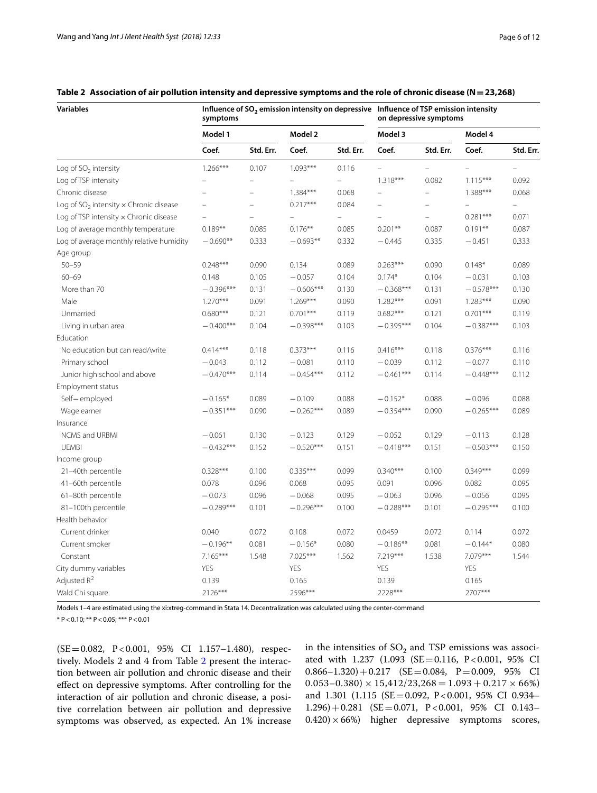| <b>Variables</b>                                | symptoms    |                          |             | Influence of SO <sub>2</sub> emission intensity on depressive Influence of TSP emission intensity<br>on depressive symptoms |             |           |             |           |
|-------------------------------------------------|-------------|--------------------------|-------------|-----------------------------------------------------------------------------------------------------------------------------|-------------|-----------|-------------|-----------|
|                                                 | Model 1     |                          | Model 2     |                                                                                                                             | Model 3     |           | Model 4     |           |
|                                                 | Coef.       | Std. Err.                | Coef.       | Std. Err.                                                                                                                   | Coef.       | Std. Err. | Coef.       | Std. Err. |
| Log of $SO2$ intensity                          | $1.266***$  | 0.107                    | $1.093***$  | 0.116                                                                                                                       |             |           |             |           |
| Log of TSP intensity                            |             |                          |             |                                                                                                                             | $1.318***$  | 0.082     | $1.115***$  | 0.092     |
| Chronic disease                                 | -           | $\equiv$                 | $1.384***$  | 0.068                                                                                                                       |             | -         | 1.388***    | 0.068     |
| Log of $SO2$ intensity $\times$ Chronic disease | $\equiv$    | $\equiv$                 | $0.217***$  | 0.084                                                                                                                       |             |           | $\equiv$    |           |
| Log of TSP intensity x Chronic disease          | $\equiv$    | $\overline{\phantom{0}}$ | $\equiv$    |                                                                                                                             | $\equiv$    | $\equiv$  | $0.281***$  | 0.071     |
| Log of average monthly temperature              | $0.189**$   | 0.085                    | $0.176***$  | 0.085                                                                                                                       | $0.201***$  | 0.087     | $0.191***$  | 0.087     |
| Log of average monthly relative humidity        | $-0.690**$  | 0.333                    | $-0.693**$  | 0.332                                                                                                                       | $-0.445$    | 0.335     | $-0.451$    | 0.333     |
| Age group                                       |             |                          |             |                                                                                                                             |             |           |             |           |
| $50 - 59$                                       | $0.248***$  | 0.090                    | 0.134       | 0.089                                                                                                                       | $0.263***$  | 0.090     | $0.148*$    | 0.089     |
| $60 - 69$                                       | 0.148       | 0.105                    | $-0.057$    | 0.104                                                                                                                       | $0.174*$    | 0.104     | $-0.031$    | 0.103     |
| More than 70                                    | $-0.396***$ | 0.131                    | $-0.606***$ | 0.130                                                                                                                       | $-0.368***$ | 0.131     | $-0.578***$ | 0.130     |
| Male                                            | $1.270***$  | 0.091                    | $1.269***$  | 0.090                                                                                                                       | $1.282***$  | 0.091     | $1.283***$  | 0.090     |
| Unmarried                                       | $0.680***$  | 0.121                    | $0.701***$  | 0.119                                                                                                                       | $0.682***$  | 0.121     | $0.701***$  | 0.119     |
| Living in urban area                            | $-0.400***$ | 0.104                    | $-0.398***$ | 0.103                                                                                                                       | $-0.395***$ | 0.104     | $-0.387***$ | 0.103     |
| Education                                       |             |                          |             |                                                                                                                             |             |           |             |           |
| No education but can read/write                 | $0.414***$  | 0.118                    | $0.373***$  | 0.116                                                                                                                       | $0.416***$  | 0.118     | $0.376***$  | 0.116     |
| Primary school                                  | $-0.043$    | 0.112                    | $-0.081$    | 0.110                                                                                                                       | $-0.039$    | 0.112     | $-0.077$    | 0.110     |
| Junior high school and above                    | $-0.470***$ | 0.114                    | $-0.454***$ | 0.112                                                                                                                       | $-0.461***$ | 0.114     | $-0.448***$ | 0.112     |
| Employment status                               |             |                          |             |                                                                                                                             |             |           |             |           |
| Self-employed                                   | $-0.165*$   | 0.089                    | $-0.109$    | 0.088                                                                                                                       | $-0.152*$   | 0.088     | $-0.096$    | 0.088     |
| Wage earner                                     | $-0.351***$ | 0.090                    | $-0.262***$ | 0.089                                                                                                                       | $-0.354***$ | 0.090     | $-0.265***$ | 0.089     |
| Insurance                                       |             |                          |             |                                                                                                                             |             |           |             |           |
| NCMS and URBMI                                  | $-0.061$    | 0.130                    | $-0.123$    | 0.129                                                                                                                       | $-0.052$    | 0.129     | $-0.113$    | 0.128     |
| <b>UEMBI</b>                                    | $-0.432***$ | 0.152                    | $-0.520***$ | 0.151                                                                                                                       | $-0.418***$ | 0.151     | $-0.503***$ | 0.150     |
| Income group                                    |             |                          |             |                                                                                                                             |             |           |             |           |
| 21-40th percentile                              | $0.328***$  | 0.100                    | $0.335***$  | 0.099                                                                                                                       | $0.340***$  | 0.100     | $0.349***$  | 0.099     |
| 41-60th percentile                              | 0.078       | 0.096                    | 0.068       | 0.095                                                                                                                       | 0.091       | 0.096     | 0.082       | 0.095     |
| 61-80th percentile                              | $-0.073$    | 0.096                    | $-0.068$    | 0.095                                                                                                                       | $-0.063$    | 0.096     | $-0.056$    | 0.095     |
| 81-100th percentile                             | $-0.289***$ | 0.101                    | $-0.296***$ | 0.100                                                                                                                       | $-0.288***$ | 0.101     | $-0.295***$ | 0.100     |
| Health behavior                                 |             |                          |             |                                                                                                                             |             |           |             |           |
| Current drinker                                 | 0.040       | 0.072                    | 0.108       | 0.072                                                                                                                       | 0.0459      | 0.072     | 0.114       | 0.072     |
| Current smoker                                  | $-0.196**$  | 0.081                    | $-0.156*$   | 0.080                                                                                                                       | $-0.186**$  | 0.081     | $-0.144*$   | 0.080     |
| Constant                                        | 7.165***    | 1.548                    | 7.025***    | 1.562                                                                                                                       | 7.219***    | 1.538     | 7.079***    | 1.544     |
| City dummy variables                            | <b>YES</b>  |                          | <b>YES</b>  |                                                                                                                             | YES         |           | <b>YES</b>  |           |
| Adjusted $R^2$                                  | 0.139       |                          | 0.165       |                                                                                                                             | 0.139       |           | 0.165       |           |
| Wald Chi square                                 | 2126***     |                          | 2596***     |                                                                                                                             | 2228***     |           | 2707***     |           |

<span id="page-5-0"></span>**Table 2 Association of air pollution intensity and depressive symptoms and the role of chronic disease (N=23,268)**

Models 1–4 are estimated using the xi:xtreg-command in Stata 14. Decentralization was calculated using the center-command

 $* P < 0.10$ ; \*\* P < 0.05; \*\*\* P < 0.01

(SE=0.082, P<0.001, 95% CI 1.157–1.480), respectively. Models 2 and 4 from Table [2](#page-5-0) present the interaction between air pollution and chronic disease and their efect on depressive symptoms. After controlling for the interaction of air pollution and chronic disease, a positive correlation between air pollution and depressive symptoms was observed, as expected. An 1% increase in the intensities of  $SO_2$  and TSP emissions was associated with  $1.237$  (1.093 (SE = 0.116, P < 0.001, 95% CI  $0.866 - 1.320$ ) + 0.217 (SE = 0.084, P = 0.009, 95% CI  $(0.053-0.380) \times 15,412/23,268 = 1.093 + 0.217 \times 66\%)$ and 1.301 (1.115 (SE=0.092, P<0.001, 95% CI 0.934- $1.296$  + 0.281 (SE = 0.071, P < 0.001, 95% CI 0.143–  $(0.420) \times 66\%)$  higher depressive symptoms scores,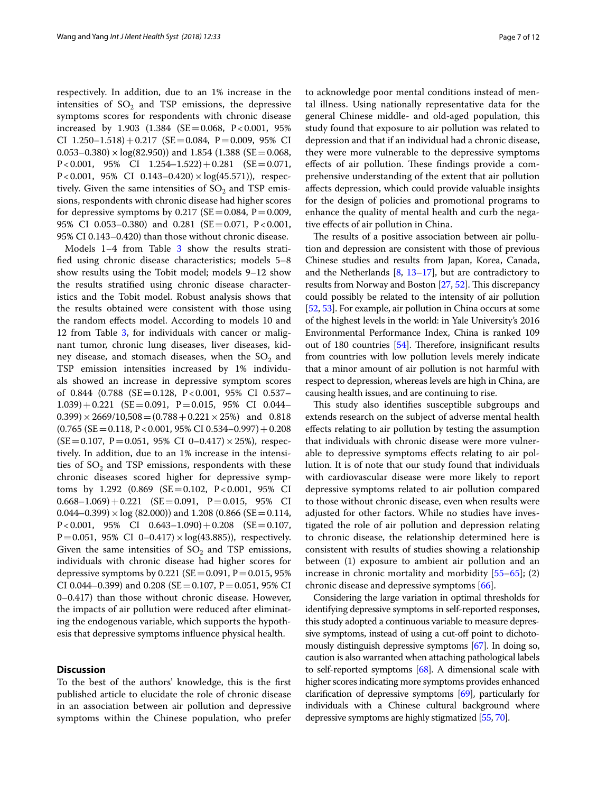respectively. In addition, due to an 1% increase in the intensities of  $SO<sub>2</sub>$  and TSP emissions, the depressive symptoms scores for respondents with chronic disease increased by 1.903  $(1.384 \text{ (SE} = 0.068, \text{ P} < 0.001, 95\%)$ CI  $1.250-1.518$ ) + 0.217 (SE = 0.084, P = 0.009, 95% CI  $(0.053-0.380) \times \log(82.950)$  and 1.854 (1.388 (SE = 0.068,  $P < 0.001$ , 95% CI  $1.254 - 1.522$  + 0.281 (SE = 0.071, P<0.001, 95% CI 0.143–0.420)  $\times$  log(45.571)), respectively. Given the same intensities of  $SO<sub>2</sub>$  and TSP emissions, respondents with chronic disease had higher scores for depressive symptoms by 0.217 ( $SE = 0.084$ ,  $P = 0.009$ , 95% CI 0.053-0.380) and 0.281 (SE=0.071, P<0.001, 95% CI 0.143–0.420) than those without chronic disease.

Models 1–4 from Table [3](#page-7-0) show the results stratifed using chronic disease characteristics; models 5–8 show results using the Tobit model; models 9–12 show the results stratifed using chronic disease characteristics and the Tobit model. Robust analysis shows that the results obtained were consistent with those using the random efects model. According to models 10 and 12 from Table [3](#page-7-0), for individuals with cancer or malignant tumor, chronic lung diseases, liver diseases, kidney disease, and stomach diseases, when the  $SO_2$  and TSP emission intensities increased by 1% individuals showed an increase in depressive symptom scores of 0.844 (0.788 (SE=0.128, P<0.001, 95% CI 0.537–  $1.039$  + 0.221 (SE = 0.091, P = 0.015, 95% CI 0.044–  $(0.399) \times 2669/10,508 = (0.788 + 0.221 \times 25%)$  and 0.818  $(0.765$  (SE = 0.118, P < 0.001, 95% CI 0.534-0.997) + 0.208  $(SE = 0.107, P = 0.051, 95\% \text{ CI } 0-0.417 \times 25\%$ , respectively. In addition, due to an 1% increase in the intensities of  $SO<sub>2</sub>$  and TSP emissions, respondents with these chronic diseases scored higher for depressive symptoms by 1.292  $(0.869 \text{ (SE} = 0.102, \text{ P} < 0.001, \text{ 95\%} \text{ CI})$  $0.668 - 1.069$  + 0.221 (SE = 0.091, P = 0.015, 95% CI 0.044–0.399)  $\times$  log (82.000)) and 1.208 (0.866 (SE = 0.114,  $P < 0.001$ , 95% CI  $0.643 - 1.090$  + 0.208 (SE = 0.107, P=0.051, 95% CI 0-0.417)  $\times$  log(43.885)), respectively. Given the same intensities of  $SO_2$  and TSP emissions, individuals with chronic disease had higher scores for depressive symptoms by  $0.221$  (SE = 0.091, P = 0.015, 95%) CI 0.044–0.399) and 0.208 (SE = 0.107, P = 0.051, 95% CI 0–0.417) than those without chronic disease. However, the impacts of air pollution were reduced after eliminating the endogenous variable, which supports the hypothesis that depressive symptoms infuence physical health.

#### **Discussion**

To the best of the authors' knowledge, this is the frst published article to elucidate the role of chronic disease in an association between air pollution and depressive symptoms within the Chinese population, who prefer

to acknowledge poor mental conditions instead of mental illness. Using nationally representative data for the general Chinese middle- and old-aged population, this study found that exposure to air pollution was related to depression and that if an individual had a chronic disease, they were more vulnerable to the depressive symptoms effects of air pollution. These findings provide a comprehensive understanding of the extent that air pollution afects depression, which could provide valuable insights for the design of policies and promotional programs to enhance the quality of mental health and curb the negative efects of air pollution in China.

The results of a positive association between air pollution and depression are consistent with those of previous Chinese studies and results from Japan, Korea, Canada, and the Netherlands [\[8](#page-10-6), [13](#page-10-10)[–17\]](#page-10-13), but are contradictory to results from Norway and Boston  $[27, 52]$  $[27, 52]$ . This discrepancy could possibly be related to the intensity of air pollution [[52](#page-11-9), [53](#page-11-10)]. For example, air pollution in China occurs at some of the highest levels in the world: in Yale University's 2016 Environmental Performance Index, China is ranked 109 out of 180 countries [[54](#page-11-11)]. Therefore, insignificant results from countries with low pollution levels merely indicate that a minor amount of air pollution is not harmful with respect to depression, whereas levels are high in China, are causing health issues, and are continuing to rise.

This study also identifies susceptible subgroups and extends research on the subject of adverse mental health efects relating to air pollution by testing the assumption that individuals with chronic disease were more vulnerable to depressive symptoms efects relating to air pollution. It is of note that our study found that individuals with cardiovascular disease were more likely to report depressive symptoms related to air pollution compared to those without chronic disease, even when results were adjusted for other factors. While no studies have investigated the role of air pollution and depression relating to chronic disease, the relationship determined here is consistent with results of studies showing a relationship between (1) exposure to ambient air pollution and an increase in chronic mortality and morbidity [\[55–](#page-11-12)[65\]](#page-11-13); (2) chronic disease and depressive symptoms [[66\]](#page-11-14).

Considering the large variation in optimal thresholds for identifying depressive symptoms in self-reported responses, this study adopted a continuous variable to measure depressive symptoms, instead of using a cut-off point to dichotomously distinguish depressive symptoms [\[67](#page-11-15)]. In doing so, caution is also warranted when attaching pathological labels to self-reported symptoms [\[68](#page-11-16)]. A dimensional scale with higher scores indicating more symptoms provides enhanced clarifcation of depressive symptoms [[69](#page-11-17)], particularly for individuals with a Chinese cultural background where depressive symptoms are highly stigmatized [[55](#page-11-12), [70\]](#page-11-18).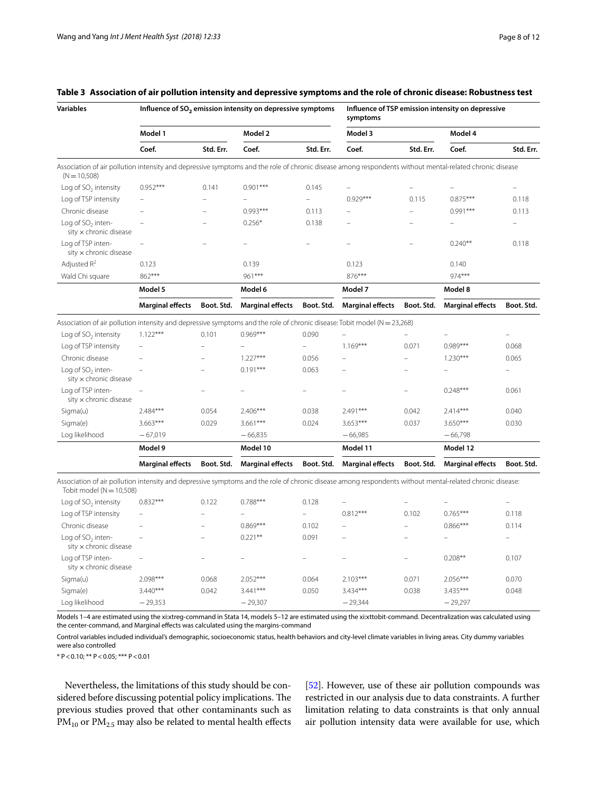| Variables                                                                                                                                                                                |                         | Influence of SO <sub>2</sub> emission intensity on depressive symptoms | Influence of TSP emission intensity on depressive<br>symptoms |            |                         |            |                         |            |
|------------------------------------------------------------------------------------------------------------------------------------------------------------------------------------------|-------------------------|------------------------------------------------------------------------|---------------------------------------------------------------|------------|-------------------------|------------|-------------------------|------------|
|                                                                                                                                                                                          | Model 1                 |                                                                        | Model 2                                                       |            | Model 3                 |            | Model 4                 |            |
|                                                                                                                                                                                          | Coef.                   | Std. Err.                                                              | Coef.                                                         | Std. Err.  | Coef.                   | Std. Err.  | Coef.                   | Std. Err.  |
| Association of air pollution intensity and depressive symptoms and the role of chronic disease among respondents without mental-related chronic disease<br>$(N = 10,508)$                |                         |                                                                        |                                                               |            |                         |            |                         |            |
| Log of SO <sub>2</sub> intensity                                                                                                                                                         | $0.952***$              | 0.141                                                                  | $0.901***$                                                    | 0.145      |                         |            |                         |            |
| Log of TSP intensity                                                                                                                                                                     |                         |                                                                        |                                                               |            | $0.929***$              | 0.115      | $0.875***$              | 0.118      |
| Chronic disease                                                                                                                                                                          |                         |                                                                        | $0.993***$                                                    | 0.113      |                         |            | $0.991***$              | 0.113      |
| Log of $SO2$ inten-<br>sity $\times$ chronic disease                                                                                                                                     |                         |                                                                        | $0.256*$                                                      | 0.138      |                         |            |                         |            |
| Log of TSP inten-<br>$sity \times$ chronic disease                                                                                                                                       |                         |                                                                        |                                                               |            |                         |            | $0.240**$               | 0.118      |
| Adjusted R <sup>2</sup>                                                                                                                                                                  | 0.123                   |                                                                        | 0.139                                                         |            | 0.123                   |            | 0.140                   |            |
| Wald Chi square                                                                                                                                                                          | 862***                  |                                                                        | $961***$                                                      |            | 876***                  |            | 974***                  |            |
|                                                                                                                                                                                          | Model 5                 |                                                                        | Model 6                                                       |            | Model 7                 |            | Model 8                 |            |
|                                                                                                                                                                                          | <b>Marginal effects</b> | Boot. Std.                                                             | <b>Marginal effects</b>                                       | Boot. Std. | <b>Marginal effects</b> | Boot. Std. | <b>Marginal effects</b> | Boot. Std. |
| Association of air pollution intensity and depressive symptoms and the role of chronic disease: Tobit model ( $N = 23,268$ )                                                             |                         |                                                                        |                                                               |            |                         |            |                         |            |
| Log of SO <sub>2</sub> intensity                                                                                                                                                         | $1.122***$              | 0.101                                                                  | $0.969***$                                                    | 0.090      |                         |            |                         |            |
| Log of TSP intensity                                                                                                                                                                     |                         |                                                                        |                                                               |            | $1.169***$              | 0.071      | $0.989***$              | 0.068      |
| Chronic disease                                                                                                                                                                          |                         |                                                                        | $1.227***$                                                    | 0.056      |                         |            | $1.230***$              | 0.065      |
| Log of SO <sub>2</sub> inten-<br>sity $\times$ chronic disease                                                                                                                           |                         |                                                                        | $0.191***$                                                    | 0.063      |                         |            |                         |            |
| Log of TSP inten-<br>$sity \times$ chronic disease                                                                                                                                       |                         |                                                                        |                                                               | ÷          |                         | L          | $0.248***$              | 0.061      |
| Sigma(u)                                                                                                                                                                                 | 2.484***                | 0.054                                                                  | $2.406***$                                                    | 0.038      | 2.491***                | 0.042      | $2.414***$              | 0.040      |
| Sigma(e)                                                                                                                                                                                 | $3.663***$              | 0.029                                                                  | $3.661***$                                                    | 0.024      | $3.653***$              | 0.037      | 3.650***                | 0.030      |
| Log likelihood                                                                                                                                                                           | $-67,019$               |                                                                        | $-66,835$                                                     |            | $-66,985$               |            | $-66,798$               |            |
|                                                                                                                                                                                          | Model 9                 |                                                                        | Model 10                                                      |            | Model 11                |            | Model 12                |            |
|                                                                                                                                                                                          | <b>Marginal effects</b> | Boot. Std.                                                             | <b>Marginal effects</b>                                       | Boot. Std. | <b>Marginal effects</b> | Boot. Std. | <b>Marginal effects</b> | Boot. Std. |
| Association of air pollution intensity and depressive symptoms and the role of chronic disease among respondents without mental-related chronic disease:<br>Tobit model ( $N = 10,508$ ) |                         |                                                                        |                                                               |            |                         |            |                         |            |
| Log of $SO2$ intensity                                                                                                                                                                   | $0.832***$              | 0.122                                                                  | $0.788***$                                                    | 0.128      |                         |            |                         |            |
| Log of TSP intensity                                                                                                                                                                     |                         |                                                                        |                                                               |            | $0.812***$              | 0.102      | $0.765***$              | 0.118      |
| Chronic disease                                                                                                                                                                          |                         |                                                                        | $0.869***$                                                    | 0.102      |                         |            | $0.866***$              | 0.114      |
| Log of SO <sub>2</sub> inten-<br>$sity \times$ chronic disease                                                                                                                           |                         |                                                                        | $0.221***$                                                    | 0.091      |                         |            |                         |            |
| Log of TSP inten-<br>sity x chronic disease                                                                                                                                              |                         |                                                                        |                                                               |            |                         |            | $0.208**$               | 0.107      |
| Sigma(u)                                                                                                                                                                                 | $2.098***$              | 0.068                                                                  | 2.052***                                                      | 0.064      | $2.103***$              | 0.071      | $2.056***$              | 0.070      |

## <span id="page-7-0"></span>**Table 3 Association of air pollution intensity and depressive symptoms and the role of chronic disease: Robustness test**

Models 1-4 are estimated using the xixtreg-command in Stata 14, models 5-12 are estimated using the xixttobit-command. Decentralization was calculated using the center-command, and Marginal efects was calculated using the margins-command

Sigma(e) 3.440\*\*\* 0.042 3.441\*\*\* 0.050 3.434\*\*\* 0.038 3.435\*\*\* 0.048

Log likelihood −29,353 −29,307 −29,344 −29,297

Control variables included individual's demographic, socioeconomic status, health behaviors and city-level climate variables in living areas. City dummy variables were also controlled

\* P < 0.10; \*\* P < 0.05; \*\*\* P < 0.01

Nevertheless, the limitations of this study should be considered before discussing potential policy implications. The previous studies proved that other contaminants such as  $PM_{10}$  or  $PM_{2.5}$  may also be related to mental health effects [[52](#page-11-9)]. However, use of these air pollution compounds was restricted in our analysis due to data constraints. A further limitation relating to data constraints is that only annual air pollution intensity data were available for use, which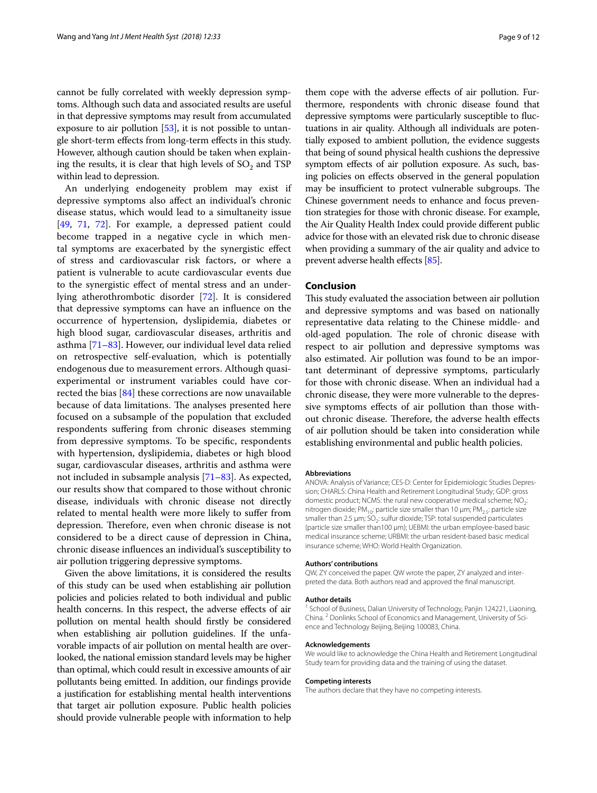cannot be fully correlated with weekly depression symptoms. Although such data and associated results are useful in that depressive symptoms may result from accumulated exposure to air pollution [[53](#page-11-10)], it is not possible to untangle short-term efects from long-term efects in this study. However, although caution should be taken when explaining the results, it is clear that high levels of  $SO<sub>2</sub>$  and TSP within lead to depression.

An underlying endogeneity problem may exist if depressive symptoms also afect an individual's chronic disease status, which would lead to a simultaneity issue [[49,](#page-11-6) [71](#page-11-19), [72](#page-11-20)]. For example, a depressed patient could become trapped in a negative cycle in which mental symptoms are exacerbated by the synergistic efect of stress and cardiovascular risk factors, or where a patient is vulnerable to acute cardiovascular events due to the synergistic efect of mental stress and an underlying atherothrombotic disorder [\[72](#page-11-20)]. It is considered that depressive symptoms can have an infuence on the occurrence of hypertension, dyslipidemia, diabetes or high blood sugar, cardiovascular diseases, arthritis and asthma [[71–](#page-11-19)[83\]](#page-11-21). However, our individual level data relied on retrospective self-evaluation, which is potentially endogenous due to measurement errors. Although quasiexperimental or instrument variables could have corrected the bias [[84\]](#page-11-22) these corrections are now unavailable because of data limitations. The analyses presented here focused on a subsample of the population that excluded respondents sufering from chronic diseases stemming from depressive symptoms. To be specifc, respondents with hypertension, dyslipidemia, diabetes or high blood sugar, cardiovascular diseases, arthritis and asthma were not included in subsample analysis [[71](#page-11-19)[–83](#page-11-21)]. As expected, our results show that compared to those without chronic disease, individuals with chronic disease not directly related to mental health were more likely to sufer from depression. Therefore, even when chronic disease is not considered to be a direct cause of depression in China, chronic disease infuences an individual's susceptibility to air pollution triggering depressive symptoms.

Given the above limitations, it is considered the results of this study can be used when establishing air pollution policies and policies related to both individual and public health concerns. In this respect, the adverse effects of air pollution on mental health should frstly be considered when establishing air pollution guidelines. If the unfavorable impacts of air pollution on mental health are overlooked, the national emission standard levels may be higher than optimal, which could result in excessive amounts of air pollutants being emitted. In addition, our fndings provide a justifcation for establishing mental health interventions that target air pollution exposure. Public health policies should provide vulnerable people with information to help

them cope with the adverse efects of air pollution. Furthermore, respondents with chronic disease found that depressive symptoms were particularly susceptible to fuctuations in air quality. Although all individuals are potentially exposed to ambient pollution, the evidence suggests that being of sound physical health cushions the depressive symptom efects of air pollution exposure. As such, basing policies on efects observed in the general population may be insufficient to protect vulnerable subgroups. The Chinese government needs to enhance and focus prevention strategies for those with chronic disease. For example, the Air Quality Health Index could provide diferent public advice for those with an elevated risk due to chronic disease when providing a summary of the air quality and advice to prevent adverse health effects [[85](#page-11-23)].

## **Conclusion**

This study evaluated the association between air pollution and depressive symptoms and was based on nationally representative data relating to the Chinese middle- and old-aged population. The role of chronic disease with respect to air pollution and depressive symptoms was also estimated. Air pollution was found to be an important determinant of depressive symptoms, particularly for those with chronic disease. When an individual had a chronic disease, they were more vulnerable to the depressive symptoms efects of air pollution than those without chronic disease. Therefore, the adverse health effects of air pollution should be taken into consideration while establishing environmental and public health policies.

#### **Abbreviations**

ANOVA: Analysis of Variance; CES-D: Center for Epidemiologic Studies Depression; CHARLS: China Health and Retirement Longitudinal Study; GDP: gross domestic product; NCMS: the rural new cooperative medical scheme; NO<sub>2</sub>: nitrogen dioxide; PM<sub>10</sub>: particle size smaller than 10  $\mu$ m; PM<sub>25</sub>: particle size smaller than 2.5  $\mu$ m; SO<sub>2</sub>: sulfur dioxide; TSP: total suspended particulates (particle size smaller than100 μm); UEBMI: the urban employee-based basic medical insurance scheme; URBMI: the urban resident-based basic medical insurance scheme; WHO: World Health Organization.

#### **Authors' contributions**

QW, ZY conceived the paper. QW wrote the paper, ZY analyzed and interpreted the data. Both authors read and approved the fnal manuscript.

#### **Author details**

<sup>1</sup> School of Business, Dalian University of Technology, Panjin 124221, Liaoning, China. 2 Donlinks School of Economics and Management, University of Science and Technology Beijing, Beijing 100083, China.

#### **Acknowledgements**

We would like to acknowledge the China Health and Retirement Longitudinal Study team for providing data and the training of using the dataset.

#### **Competing interests**

The authors declare that they have no competing interests.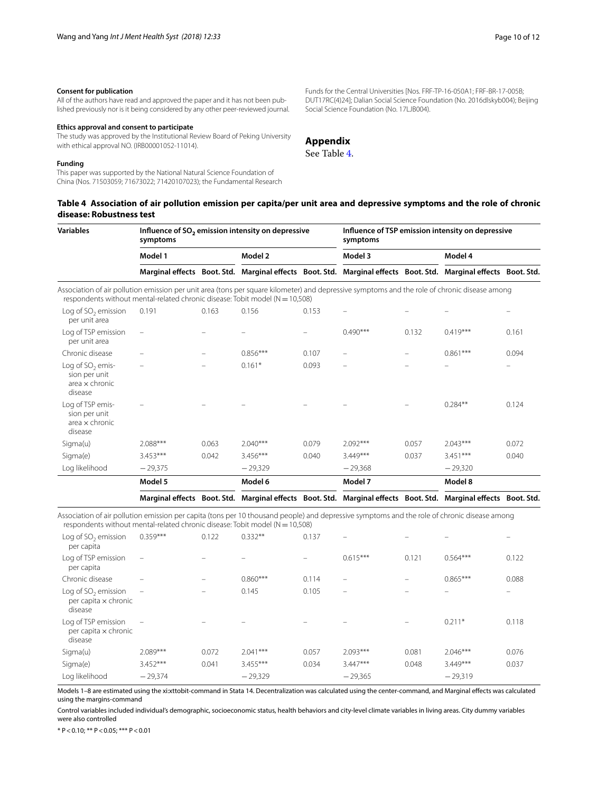### **Consent for publication**

All of the authors have read and approved the paper and it has not been published previously nor is it being considered by any other peer-reviewed journal.

#### **Ethics approval and consent to participate**

The study was approved by the Institutional Review Board of Peking University with ethical approval NO. (IRB00001052-11014).

#### **Funding**

This paper was supported by the National Natural Science Foundation of China (Nos. 71503059; 71673022; 71420107023); the Fundamental Research Funds for the Central Universities [Nos. FRF-TP-16-050A1; FRF-BR-17-005B; DUT17RC(4)24]; Dalian Social Science Foundation (No. 2016dlskyb004); Beijing Social Science Foundation (No. 17LJB004).

## <span id="page-9-0"></span>**Appendix**

See Table [4.](#page-9-1)

## <span id="page-9-1"></span>**Table 4 Association of air pollution emission per capita/per unit area and depressive symptoms and the role of chronic disease: Robustness test**

| Variables                                                                                                                                                                                                                         | symptoms   | Influence of SO <sub>2</sub> emission intensity on depressive | Influence of TSP emission intensity on depressive<br>symptoms |       |                          |         |                                                                                                                 |       |
|-----------------------------------------------------------------------------------------------------------------------------------------------------------------------------------------------------------------------------------|------------|---------------------------------------------------------------|---------------------------------------------------------------|-------|--------------------------|---------|-----------------------------------------------------------------------------------------------------------------|-------|
|                                                                                                                                                                                                                                   | Model 1    |                                                               | Model 2                                                       |       | Model 3                  |         | Model 4                                                                                                         |       |
|                                                                                                                                                                                                                                   |            |                                                               |                                                               |       |                          |         | Marginal effects Boot. Std. Marginal effects Boot. Std. Marginal effects Boot. Std. Marginal effects Boot. Std. |       |
| Association of air pollution emission per unit area (tons per square kilometer) and depressive symptoms and the role of chronic disease among<br>respondents without mental-related chronic disease: Tobit model ( $N = 10,508$ ) |            |                                                               |                                                               |       |                          |         |                                                                                                                 |       |
| Log of SO <sub>2</sub> emission<br>per unit area                                                                                                                                                                                  | 0.191      | 0.163                                                         | 0.156                                                         | 0.153 |                          |         |                                                                                                                 |       |
| Log of TSP emission<br>per unit area                                                                                                                                                                                              |            |                                                               |                                                               |       | $0.490***$               | 0.132   | $0.419***$                                                                                                      | 0.161 |
| Chronic disease                                                                                                                                                                                                                   |            |                                                               | $0.856***$                                                    | 0.107 | $\overline{\phantom{m}}$ |         | $0.861***$                                                                                                      | 0.094 |
| Log of SO <sub>2</sub> emis-<br>sion per unit<br>area x chronic<br>disease                                                                                                                                                        |            |                                                               | $0.161*$                                                      | 0.093 |                          |         |                                                                                                                 |       |
| Log of TSP emis-<br>sion per unit<br>area $\times$ chronic<br>disease                                                                                                                                                             |            |                                                               |                                                               |       |                          |         | $0.284**$                                                                                                       | 0.124 |
| Sigma(u)                                                                                                                                                                                                                          | 2.088***   | 0.063                                                         | $2.040***$                                                    | 0.079 | $2.092***$               | 0.057   | $2.043***$                                                                                                      | 0.072 |
| Sigma(e)                                                                                                                                                                                                                          | $3.453***$ | 0.042                                                         | $3.456***$                                                    | 0.040 | $3.449***$               | 0.037   | $3.451***$                                                                                                      | 0.040 |
| Log likelihood                                                                                                                                                                                                                    | $-29,375$  |                                                               | $-29,329$                                                     |       | $-29,368$                |         | $-29,320$                                                                                                       |       |
|                                                                                                                                                                                                                                   | Model 5    |                                                               | Model 6                                                       |       |                          | Model 7 |                                                                                                                 |       |
|                                                                                                                                                                                                                                   |            |                                                               |                                                               |       |                          |         | Marginal effects Boot. Std. Marginal effects Boot. Std. Marginal effects Boot. Std. Marginal effects Boot. Std. |       |

Association of air pollution emission per capita (tons per 10 thousand people) and depressive symptoms and the role of chronic disease among respondents without mental-related chronic disease: Tobit model (N=10,508)

| Log of $SO2$ emission<br>per capita                      | $0.359***$               | 0.122 | $0.332**$  | 0.137 | -          |       |            |       |
|----------------------------------------------------------|--------------------------|-------|------------|-------|------------|-------|------------|-------|
| Log of TSP emission<br>per capita                        | $\overline{\phantom{m}}$ |       |            |       | $0.615***$ | 0.121 | $0.564***$ | 0.122 |
| Chronic disease                                          |                          |       | $0.860***$ | 0.114 | -          |       | $0.865***$ | 0.088 |
| Log of $SO2$ emission<br>per capita x chronic<br>disease | $\qquad \qquad =$        |       | 0.145      | 0.105 | -          |       |            |       |
| Log of TSP emission<br>per capita x chronic<br>disease   | $\overline{\phantom{0}}$ |       |            |       |            |       | $0.211*$   | 0.118 |
| Sigma(u)                                                 | 2.089***                 | 0.072 | $2.041***$ | 0.057 | $2.093***$ | 0.081 | $2.046***$ | 0.076 |
| Sigma(e)                                                 | 3.452***                 | 0.041 | $3.455***$ | 0.034 | $3.447***$ | 0.048 | $3.449***$ | 0.037 |
| Log likelihood                                           | $-29,374$                |       | $-29,329$  |       | $-29,365$  |       | $-29,319$  |       |
|                                                          |                          |       |            |       |            |       |            |       |

Models 1–8 are estimated using the xi:xttobit-command in Stata 14. Decentralization was calculated using the center-command, and Marginal efects was calculated using the margins-command

Control variables included individual's demographic, socioeconomic status, health behaviors and city-level climate variables in living areas. City dummy variables were also controlled

 $* P < 0.10$ ; \*\* P < 0.05; \*\*\* P < 0.01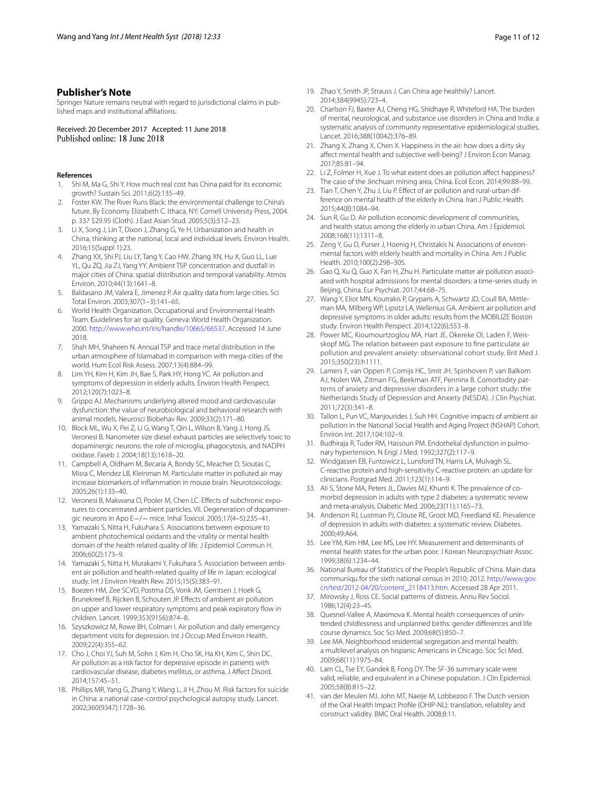## **Publisher's Note**

Springer Nature remains neutral with regard to jurisdictional claims in published maps and institutional afliations.

Received: 20 December 2017 Accepted: 11 June 2018

#### **References**

- <span id="page-10-0"></span>Shi M, Ma G, Shi Y. How much real cost has China paid for its economic growth? Sustain Sci. 2011;6(2):135–49.
- 2. Foster KW. The River Runs Black: the environmental challenge to China's future. By Economy Elizabeth C. Ithaca, NY: Cornell University Press, 2004. p. 337 \$29.95 (Cloth). J East Asian Stud. 2005;5(3):512–23.
- <span id="page-10-1"></span>3. Li X, Song J, Lin T, Dixon J, Zhang G, Ye H. Urbanization and health in China, thinking at the national, local and individual levels. Environ Health. 2016;15(Suppl 1):23.
- <span id="page-10-2"></span>4. Zhang XX, Shi PJ, Liu LY, Tang Y, Cao HW, Zhang XN, Hu X, Guo LL, Lue YL, Qu ZQ, Jia ZJ, Yang YY. Ambient TSP concentration and dustfall in major cities of China: spatial distribution and temporal variability. Atmos Environ. 2010;44(13):1641–8.
- <span id="page-10-3"></span>5. Baldasano JM, Valera E, Jimenez P. Air quality data from large cities. Sci Total Environ. 2003;307(1–3):141–65.
- <span id="page-10-4"></span>6. World Health Organization. Occupational and Environmental Health Team. Guidelines for air quality. Geneva: World Health Organization. 2000. [http://www.who.int/iris/handle/10665/66537.](http://www.who.int/iris/handle/10665/66537) Accessed 14 June 2018.
- <span id="page-10-5"></span>7. Shah MH, Shaheen N. Annual TSP and trace metal distribution in the urban atmosphere of Islamabad in comparison with mega-cities of the world. Hum Ecol Risk Assess. 2007;13(4):884–99.
- <span id="page-10-6"></span>8. Lim YH, Kim H, Kim JH, Bae S, Park HY, Hong YC. Air pollution and symptoms of depression in elderly adults. Environ Health Perspect. 2012;120(7):1023–8.
- <span id="page-10-7"></span>9. Grippo AJ. Mechanisms underlying altered mood and cardiovascular dysfunction: the value of neurobiological and behavioral research with animal models. Neurosci Biobehav Rev. 2009;33(2):171–80.
- <span id="page-10-8"></span>10. Block ML, Wu X, Pei Z, Li G, Wang T, Qin L, Wilson B, Yang J, Hong JS, Veronesi B. Nanometer size diesel exhaust particles are selectively toxic to dopaminergic neurons: the role of microglia, phagocytosis, and NADPH oxidase. Faseb J. 2004;18(13):1618–20.
- 11. Campbell A, Oldham M, Becaria A, Bondy SC, Meacher D, Sioutas C, Misra C, Mendez LB, Kleinman M. Particulate matter in polluted air may increase biomarkers of infammation in mouse brain. Neurotoxicology. 2005;26(1):133–40.
- <span id="page-10-9"></span>12. Veronesi B, Makwana O, Pooler M, Chen LC. Effects of subchronic exposures to concentrated ambient particles. VII. Degeneration of dopaminergic neurons in Apo E−/− mice. Inhal Toxicol. 2005;17(4–5):235–41.
- <span id="page-10-10"></span>13. Yamazaki S, Nitta H, Fukuhara S. Associations between exposure to ambient photochemical oxidants and the vitality or mental health domain of the health related quality of life. J Epidemiol Commun H. 2006;60(2):173–9.
- 14. Yamazaki S, Nitta H, Murakami Y, Fukuhara S. Association between ambient air pollution and health-related quality of life in Japan: ecological study. Int J Environ Health Rew. 2015;15(5):383–91.
- <span id="page-10-11"></span>15. Boezen HM, Zee SCVD, Postma DS, Vonk JM, Gerritsen J, Hoek G, Brunekreef B, Rijcken B, Schouten JP. Efects of ambient air pollution on upper and lower respiratory symptoms and peak expiratory fow in children. Lancet. 1999;353(9156):874–8.
- <span id="page-10-12"></span>16. Szyszkowicz M, Rowe BH, Colman I. Air pollution and daily emergency department visits for depression. Int J Occup Med Environ Health. 2009;22(4):355–62.
- <span id="page-10-13"></span>17. Cho J, Choi YJ, Suh M, Sohn J, Kim H, Cho SK, Ha KH, Kim C, Shin DC. Air pollution as a risk factor for depressive episode in patients with cardiovascular disease, diabetes mellitus, or asthma. J Afect Disord. 2014;157:45–51.
- <span id="page-10-14"></span>18. Phillips MR, Yang G, Zhang Y, Wang L, Ji H, Zhou M. Risk factors for suicide in China: a national case-control psychological autopsy study. Lancet. 2002;360(9347):1728–36.
- <span id="page-10-15"></span>19. Zhao Y, Smith JP, Strauss J. Can China age healthily? Lancet. 2014;384(9945):723–4.
- <span id="page-10-16"></span>20. Charlson FJ, Baxter AJ, Cheng HG, Shidhaye R, Whiteford HA. The burden of mental, neurological, and substance use disorders in China and India: a systematic analysis of community representative epidemiological studies. Lancet. 2016;388(10042):376–89.
- <span id="page-10-17"></span>21. Zhang X, Zhang X, Chen X. Happiness in the air: how does a dirty sky afect mental health and subjective well-being? J Environ Econ Manag. 2017;85:81–94.
- <span id="page-10-18"></span>22. Li Z, Folmer H, Xue J. To what extent does air pollution affect happiness? The case of the Jinchuan mining area, China. Ecol Econ. 2014;99:88–99.
- <span id="page-10-19"></span>23. Tian T, Chen Y, Zhu J, Liu P. Effect of air pollution and rural-urban difference on mental health of the elderly in China. Iran J Public Health. 2015;44(8):1084–94.
- <span id="page-10-20"></span>24. Sun R, Gu D. Air pollution economic development of communities, and health status among the elderly in urban China. Am J Epidemiol. 2008;168(11):1311–8.
- <span id="page-10-21"></span>25. Zeng Y, Gu D, Purser J, Hoenig H, Christakis N. Associations of environmental factors with elderly health and mortality in China. Am J Public Health. 2010;100(2):298–305.
- <span id="page-10-22"></span>26. Gao Q, Xu Q, Guo X, Fan H, Zhu H. Particulate matter air pollution associated with hospital admissions for mental disorders: a time-series study in Beijing, China. Eur Psychiat. 2017;44:68–75.
- <span id="page-10-23"></span>27. Wang Y, Eliot MN, Koutrakis P, Gryparis A, Schwartz JD, Coull BA, Mittleman MA, Milberg WP, Lipsitz LA, Wellenius GA. Ambient air pollution and depressive symptoms in older adults: results from the MOBILIZE Boston study. Environ Health Perspect. 2014;122(6):553–8.
- <span id="page-10-24"></span>28. Power MC, Kioumourtzoglou MA, Hart JE, Okereke OI, Laden F, Weisskopf MG. The relation between past exposure to fne particulate air pollution and prevalent anxiety: observational cohort study. Brit Med J. 2015;350(23):h1111.
- <span id="page-10-25"></span>29. Lamers F, van Oppen P, Comijs HC, Smit JH, Spinhoven P, van Balkom AJ, Nolen WA, Zitman FG, Beekman ATF, Penninx B. Comorbidity patterns of anxiety and depressive disorders in a large cohort study: the Netherlands Study of Depression and Anxiety (NESDA). J Clin Psychiat. 2011;72(3):341–8.
- <span id="page-10-26"></span>30. Tallon L, Pun VC, Manjourides J, Suh HH. Cognitive impacts of ambient air pollution in the National Social Health and Aging Project (NSHAP) Cohort. Environ Int. 2017;104:102–9.
- <span id="page-10-27"></span>31. Budhiraja R, Tuder RM, Hassoun PM. Endothelial dysfunction in pulmonary hypertension. N Engl J Med. 1992;327(2):117–9.
- <span id="page-10-28"></span>32. Windgassen EB, Funtowicz L, Lunsford TN, Harris LA, Mulvagh SL. C-reactive protein and high-sensitivity C-reactive protein: an update for clinicians. Postgrad Med. 2011;123(1):114–9.
- <span id="page-10-29"></span>33. Ali S, Stone MA, Peters JL, Davies MJ, Khunti K. The prevalence of comorbid depression in adults with type 2 diabetes: a systematic review and meta-analysis. Diabetic Med. 2006;23(11):1165–73.
- 34. Anderson RJ, Lustman PJ, Clouse RE, Groot MD, Freedland KE. Prevalence of depression in adults with diabetes: a systematic review. Diabetes. 2000;49:A64.
- <span id="page-10-30"></span>35. Lee YM, Kim HM, Lee MS, Lee HY. Measurement and determinants of mental health states for the urban poor. J Korean Neuropsychiatr Assoc. 1999;38(6):1234–44.
- <span id="page-10-31"></span>36. National Bureau of Statistics of the People's Republic of China. Main data communiqu for the sixth national census in 2010; 2012. [http://www.gov.](http://www.gov.cn/test/2012-04/20/content_2118413.htm) [cn/test/2012-04/20/content\\_2118413.htm.](http://www.gov.cn/test/2012-04/20/content_2118413.htm) Accessed 28 Apr 2011.
- <span id="page-10-32"></span>37. Mirowsky J, Ross CE. Social patterns of distress. Annu Rev Sociol. 1986;12(4):23–45.
- <span id="page-10-33"></span>38. Quesnel-Vallee A, Maximova K. Mental health consequences of unintended childlessness and unplanned births: gender differences and life course dynamics. Soc Sci Med. 2009;68(5):850–7.
- <span id="page-10-34"></span>39. Lee MA. Neighborhood residential segregation and mental health: a multilevel analysis on hispanic Americans in Chicago. Soc Sci Med. 2009;68(11):1975–84.
- <span id="page-10-35"></span>40. Lam CL, Tse EY, Gandek B, Fong DY. The SF-36 summary scale were valid, reliable, and equivalent in a Chinese population. J Clin Epidemiol. 2005;58(8):815–22.
- <span id="page-10-36"></span>41. van der Meulen MJ, John MT, Naeije M, Lobbezoo F. The Dutch version of the Oral Health Impact Profle (OHIP-NL): translation, reliability and construct validity. BMC Oral Health. 2008;8:11.